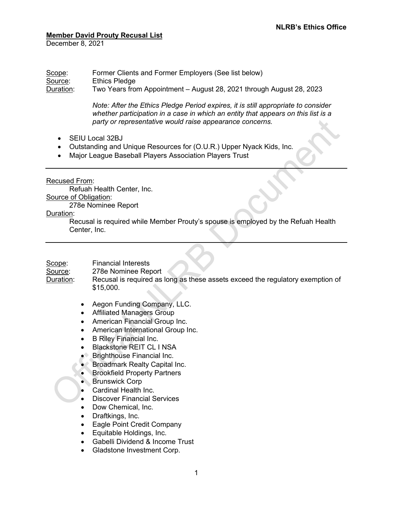### **Member David Prouty Recusal List**

December 8, 2021

#### Scope: Former Clients and Former Employers (See list below) Source: Ethics Pledge Duration: Two Years from Appointment – August 28, 2021 through August 28, 2023

*Note: After the Ethics Pledge Period expires, it is still appropriate to consider whether participation in a case in which an entity that appears on this list is a party or representative would raise appearance concerns.*

- SEIU Local 32BJ
- Outstanding and Unique Resources for (O.U.R.) Upper Nyack Kids, Inc.
- Major League Baseball Players Association Players Trust

Recused From:

Refuah Health Center, Inc. Source of Obligation:

278e Nominee Report

### Duration:

Recusal is required while Member Prouty's spouse is employed by the Refuah Health Center, Inc.

## Scope: Financial Interests

Source: 278e Nominee Report

Duration: Recusal is required as long as these assets exceed the regulatory exemption of \$15,000.

- Aegon Funding Company, LLC.
- Affiliated Managers Group
- American Financial Group Inc.
- American International Group Inc.
- B Riley Financial Inc.
- Blackstone REIT CL I NSA
- Brighthouse Financial Inc.
- Broadmark Realty Capital Inc.
- Brookfield Property Partners
- Brunswick Corp
- Cardinal Health Inc.
- Discover Financial Services
- Dow Chemical, Inc.
- Draftkings, Inc.
- Eagle Point Credit Company
- Equitable Holdings, Inc.
- Gabelli Dividend & Income Trust
- Gladstone Investment Corp.